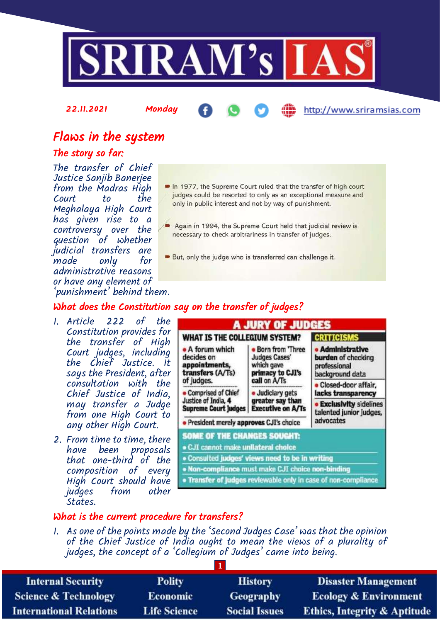

22.11.2021 Monday

### http://www.sriramsias.com

## Flaws in the system

### The story so far:

The transfer of Chief Justice Sanjib Banerjee from the Madras High Court to Meghalaya High Court has given rise to a controversy over the question of whether judicial transfers are made only for administrative reasons or have any element of 'punishment' behind them.

- In 1977, the Supreme Court ruled that the transfer of high court judges could be resorted to only as an exceptional measure and only in public interest and not by way of punishment.
- Again in 1994, the Supreme Court held that judicial review is necessary to check arbitrariness in transfer of judges.
- But, only the judge who is transferred can challenge it.

## What does the Constitution say on the transfer of judges?

- 1. Article 222 of the Constitution provides for the transfer of High Court judges, including the Chief Justice. It says the President, after consultation with the Chief Justice of India, may transfer a Judge from one High Court to any other High Court.
- 2. From time to time, there have been proposals that one-third of the composition of every High Court should have judges from other States.

| WHAT IS THE COLLEGIUM SYSTEM?                                                                      |                                                                                            | <b>CRITICISMS</b>                                                              |
|----------------------------------------------------------------------------------------------------|--------------------------------------------------------------------------------------------|--------------------------------------------------------------------------------|
| • A forum which<br>decides on<br>appointments,<br>transfers (A/Ts)<br>of judges.                   | Born from 'Three<br><b>Judges Cases'</b><br>which gave<br>primacy to CJI's<br>call on A/Ts | <b>Administrative</b><br>burden of checking<br>professional<br>background data |
| <b>Comprised of Chief</b>                                                                          | Judiciary gets                                                                             | Closed-door affair,<br>lacks transparency                                      |
| Justice of India, 4<br>greater say than<br><b>Executive on A/Ts</b><br><b>Supreme Court Judges</b> |                                                                                            | <b>Exclusivity sidelines</b><br>talented junior judges,                        |
| · President merely approves CJI's choice                                                           |                                                                                            | advocates                                                                      |
| SOME OF THE CHANGES SOUGHT:                                                                        |                                                                                            |                                                                                |
| · CJI cannot make unllateral choice                                                                |                                                                                            |                                                                                |
| . Consulted judges' views need to be in writing                                                    |                                                                                            |                                                                                |
|                                                                                                    | . Non-compliance must make CJI choice non-binding                                          |                                                                                |

#### What is the current procedure for transfers?

1. As one of the points made by the 'Second Judges Case' was that the opinion of the Chief Justice of India ought to mean the views of a plurality of judges, the concept of a 'Collegium of Judges' came into being.

| <b>Internal Security</b>        | <b>Polity</b>       | <b>History</b>       | <b>Disaster Management</b>              |  |
|---------------------------------|---------------------|----------------------|-----------------------------------------|--|
| <b>Science &amp; Technology</b> | <b>Economic</b>     | <b>Geography</b>     | <b>Ecology &amp; Environment</b>        |  |
| <b>International Relations</b>  | <b>Life Science</b> | <b>Social Issues</b> | <b>Ethics, Integrity &amp; Aptitude</b> |  |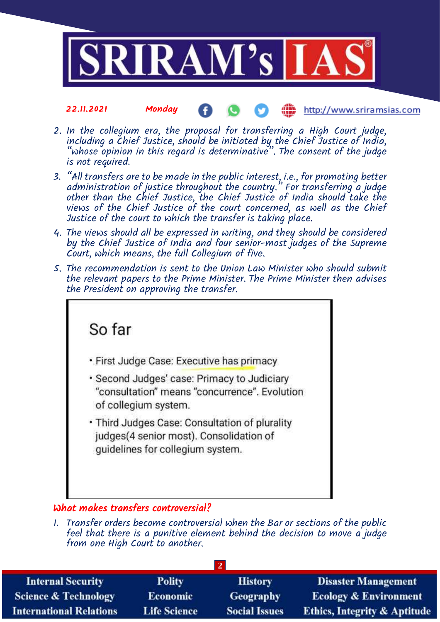

- 2. In the collegium era, the proposal for transferring a High Court judge, including a Chief Justice, should be initiated by the Chief Justice of India, "whose opinion in this regard is determinative". The consent of the judge is not required.
- 3. "All transfers are to be made in the public interest, i.e., for promoting better administration of justice throughout the country." For transferring a judge other than the Chief Justice, the Chief Justice of India should take the views of the Chief Justice of the court concerned, as well as the Chief Justice of the court to which the transfer is taking place.
- 4. The views should all be expressed in writing, and they should be considered by the Chief Justice of India and four senior-most judges of the Supreme Court, which means, the full Collegium of five.
- 5. The recommendation is sent to the Union Law Minister who should submit the relevant papers to the Prime Minister. The Prime Minister then advises the President on approving the transfer.



### What makes transfers controversial?

1. Transfer orders become controversial when the Bar or sections of the public feel that there is a punitive element behind the decision to move a judge from one High Court to another.

| <b>Internal Security</b>        | <b>Polity</b>       | <b>History</b>       | <b>Disaster Management</b>              |  |
|---------------------------------|---------------------|----------------------|-----------------------------------------|--|
| <b>Science &amp; Technology</b> | <b>Economic</b>     | <b>Geography</b>     | <b>Ecology &amp; Environment</b>        |  |
| <b>International Relations</b>  | <b>Life Science</b> | <b>Social Issues</b> | <b>Ethics, Integrity &amp; Aptitude</b> |  |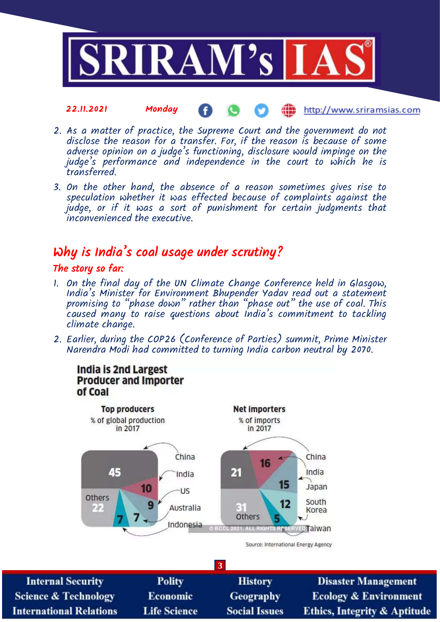

- 2. As a matter of practice, the Supreme Court and the government do not disclose the reason for a transfer. For, if the reason is because of some adverse opinion on a judge's functioning, disclosure would impinge on the judge's performance and independence in the court to which he is transferred.
- 3. On the other hand, the absence of a reason sometimes gives rise to speculation whether it was effected because of complaints against the judge, or if it was a sort of punishment for certain judgments that inconvenienced the executive.

## Why is India's coal usage under scrutiny?

#### The story so far:

- 1. On the final day of the UN Climate Change Conference held in Glasgow, India's Minister for Environment Bhupender Yadav read out a statement promising to "phase down" rather than "phase out" the use of coal. This caused many to raise questions about India's commitment to tackling climate change.
- 2. Earlier, during the COP26 (Conference of Parties) summit, Prime Minister Narendra Modi had committed to turning India carbon neutral by 2070.



**3 Internal Security Polity History Disaster Management Science & Technology** Economic Geography **Ecology & Environment Life Science Social Issues International Relations Ethics, Integrity & Aptitude**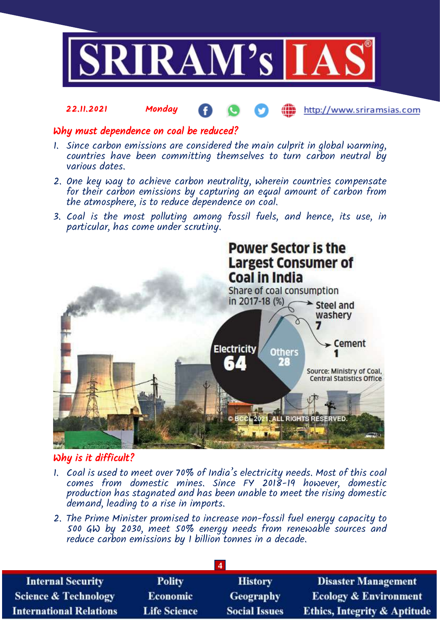

#### Why must dependence on coal be reduced?

- 1. Since carbon emissions are considered the main culprit in global warming, countries have been committing themselves to turn carbon neutral by various dates.
- 2. One key way to achieve carbon neutrality, wherein countries compensate for their carbon emissions by capturing an equal amount of carbon from the atmosphere, is to reduce dependence on coal.
- 3. Coal is the most polluting among fossil fuels, and hence, its use, in particular, has come under scrutiny.



## Why is it difficult?

- 1. Coal is used to meet over 70% of India's electricity needs. Most of this coal comes from domestic mines. Since FY 2018-19 however, domestic production has stagnated and has been unable to meet the rising domestic demand, leading to a rise in imports.
- 2. The Prime Minister promised to increase non-fossil fuel energy capacity to 500 GW by 2030, meet 50% energy needs from renewable sources and reduce carbon emissions by 1 billion tonnes in a decade.

| <b>Internal Security</b>        | <b>Polity</b>       | <b>History</b>       | <b>Disaster Management</b>              |  |
|---------------------------------|---------------------|----------------------|-----------------------------------------|--|
| <b>Science &amp; Technology</b> | Economic            | Geography            | <b>Ecology &amp; Environment</b>        |  |
| <b>International Relations</b>  | <b>Life Science</b> | <b>Social Issues</b> | <b>Ethics, Integrity &amp; Aptitude</b> |  |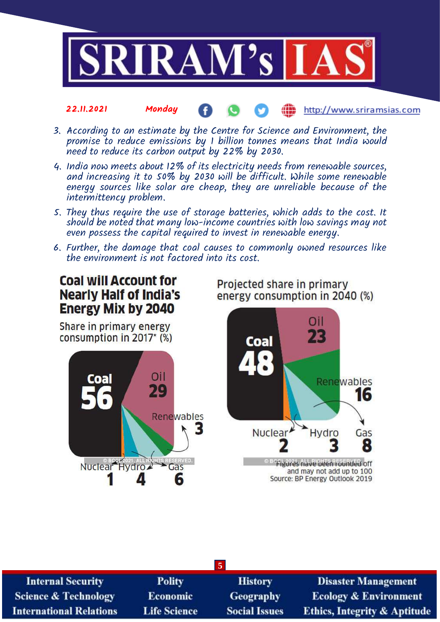

- 3. According to an estimate by the Centre for Science and Environment, the promise to reduce emissions by  $1$  billion tonnes means that India would need to reduce its carbon output by 22% by 2030.
- 4. India now meets about 12% of its electricity needs from renewable sources, and increasing it to 50% by 2030 will be difficult. While some renewable energy sources like solar are cheap, they are unreliable because of the intermittency problem.
- 5. They thus require the use of storage batteries, which adds to the cost. It should be noted that many low-income countries with low savings may not even possess the capital required to invest in renewable energy.
- 6. Further, the damage that coal causes to commonly owned resources like the environment is not factored into its cost.

## **Coal will Account for Nearly Half of India's Energy Mix by 2040**

Share in primary energy consumption in 2017\* (%)



Projected share in primary energy consumption in 2040 (%)



<sup>® Bo</sup>flgures nave been rounded off and may not add up to 100 Source: BP Energy Outlook 2019

| $\sqrt{5}$                      |                     |                      |                                         |  |
|---------------------------------|---------------------|----------------------|-----------------------------------------|--|
| <b>Internal Security</b>        | <b>Polity</b>       | <b>History</b>       | <b>Disaster Management</b>              |  |
| <b>Science &amp; Technology</b> | <b>Economic</b>     | Geography            | <b>Ecology &amp; Environment</b>        |  |
| <b>International Relations</b>  | <b>Life Science</b> | <b>Social Issues</b> | <b>Ethics, Integrity &amp; Aptitude</b> |  |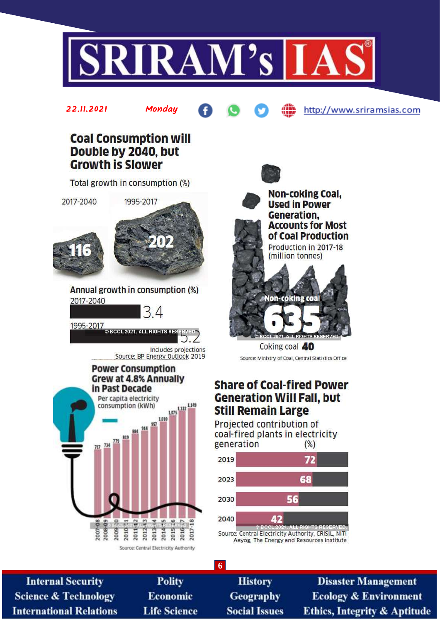

## **Coal Consumption will** Double by 2040, but **Growth is Slower**

22.11.2021 Monday

Total growth in consumption (%)



2017-2040



Annual growth in consumption (%) 2017-2040

1995-2017<br>
© BCCL 2021. ALL RIGHTS RES

Includes projections Source: BP Energy Outlook 2019

 $\Delta$ 







http://www.sriramsias.com

Coking coal 40 Source: Ministry of Coal, Central Statistics Office

## **Share of Coal-fired Power Generation Will Fall, but Still Remain Large**

Projected contribution of coal-fired plants in electricity generation  $(\%)$ 



Aayog, The Energy and Resources Institute

| 6                               |                     |                      |                                         |  |
|---------------------------------|---------------------|----------------------|-----------------------------------------|--|
| <b>Internal Security</b>        | <b>Polity</b>       | <b>History</b>       | <b>Disaster Management</b>              |  |
| <b>Science &amp; Technology</b> | <b>Economic</b>     | <b>Geography</b>     | <b>Ecology &amp; Environment</b>        |  |
| <b>International Relations</b>  | <b>Life Science</b> | <b>Social Issues</b> | <b>Ethics, Integrity &amp; Aptitude</b> |  |
|                                 |                     |                      |                                         |  |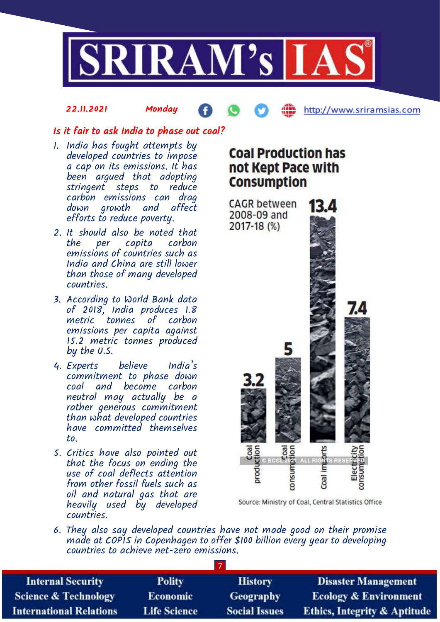

### Is it fair to ask India to phase out coal?

- 1. India has fought attempts by developed countries to impose a cap on its emissions. It has been argued that adopting stringent steps to reduce carbon emissions can drag down growth and affect efforts to reduce poverty.
- 2. It should also be noted that the per capita carbon emissions of countries such as India and China are still lower than those of many developed countries.
- 3. According to World Bank data of 2018, India produces 1.8 metric tonnes of carbon emissions per capita against 15.2 metric tonnes produced by the U.S.
- 4. Experts believe India's commitment to phase down coal and become carbon neutral may actually be a rather generous commitment than what developed countries have committed themselves to.
- 5. Critics have also pointed out that the focus on ending the use of coal deflects attention from other fossil fuels such as oil and natural gas that are heavily used by developed countries.

# **Coal Production has** not Kept Pace with **Consumption**



Source: Ministry of Coal, Central Statistics Office

6. They also say developed countries have not made good on their promise made at COPIS in Copenhagen to offer \$100 billion every year to developing countries to achieve net-zero emissions.

**7**

| <b>Internal Security</b>        | <b>Polity</b>       | <b>History</b>       | <b>Disaster Management</b>              |  |
|---------------------------------|---------------------|----------------------|-----------------------------------------|--|
| <b>Science &amp; Technology</b> | Economic            | Geography            | <b>Ecology &amp; Environment</b>        |  |
| <b>International Relations</b>  | <b>Life Science</b> | <b>Social Issues</b> | <b>Ethics, Integrity &amp; Aptitude</b> |  |